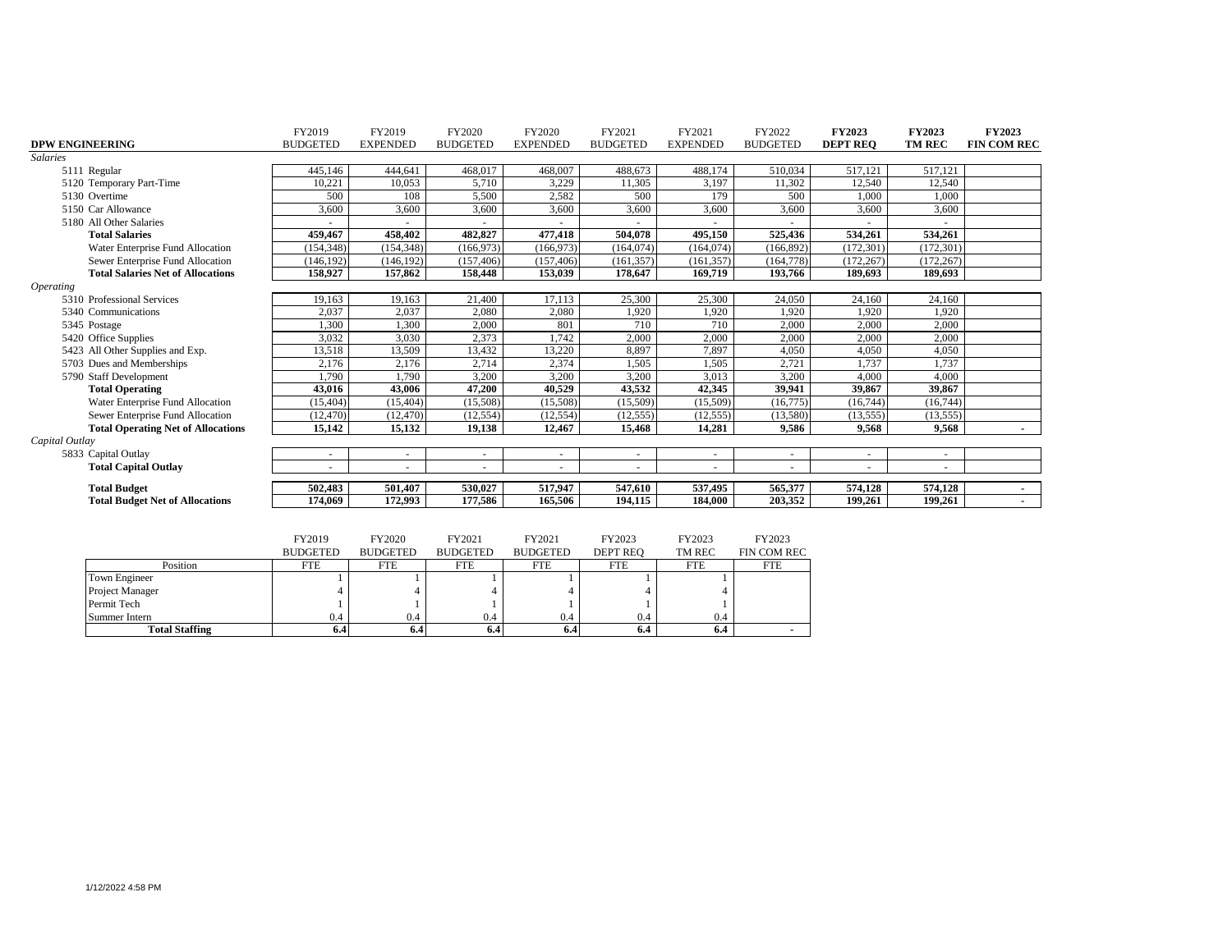|                         |                                           | FY2019          | FY2019          | FY2020          | FY2020          | FY2021          | FY2021          | FY2022                   | FY2023          | FY2023        | <b>FY2023</b>      |
|-------------------------|-------------------------------------------|-----------------|-----------------|-----------------|-----------------|-----------------|-----------------|--------------------------|-----------------|---------------|--------------------|
| <b>DPW ENGINEERING</b>  |                                           | <b>BUDGETED</b> | <b>EXPENDED</b> | <b>BUDGETED</b> | <b>EXPENDED</b> | <b>BUDGETED</b> | <b>EXPENDED</b> | <b>BUDGETED</b>          | <b>DEPT REO</b> | <b>TM REC</b> | <b>FIN COM REC</b> |
| <b>Salaries</b>         |                                           |                 |                 |                 |                 |                 |                 |                          |                 |               |                    |
|                         | 5111 Regular                              | 445,146         | 444,641         | 468,017         | 468,007         | 488,673         | 488,174         | 510,034                  | 517,121         | 517,121       |                    |
|                         | 5120 Temporary Part-Time                  | 10,221          | 10,053          | 5,710           | 3,229           | 11,305          | 3,197           | 11,302                   | 12,540          | 12,540        |                    |
|                         | 5130 Overtime                             | 500             | 108             | 5,500           | 2,582           | 500             | 179             | 500                      | 1,000           | 1.000         |                    |
|                         | 5150 Car Allowance                        | 3,600           | 3,600           | 3,600           | 3,600           | 3,600           | 3,600           | 3,600                    | 3,600           | 3,600         |                    |
|                         | 5180 All Other Salaries                   |                 |                 |                 |                 |                 |                 |                          |                 |               |                    |
|                         | <b>Total Salaries</b>                     | 459,467         | 458,402         | 482,827         | 477,418         | 504,078         | 495,150         | 525,436                  | 534,261         | 534,261       |                    |
|                         | Water Enterprise Fund Allocation          | (154, 348)      | (154, 348)      | (166, 973)      | (166,973)       | (164, 074)      | (164, 074)      | (166, 892)               | (172, 301)      | (172, 301)    |                    |
|                         | Sewer Enterprise Fund Allocation          | (146, 192)      | (146, 192)      | (157, 406)      | (157, 406)      | (161, 357)      | (161, 357)      | (164, 778)               | (172, 267)      | (172, 267)    |                    |
|                         | <b>Total Salaries Net of Allocations</b>  | 158,927         | 157,862         | 158,448         | 153,039         | 178,647         | 169,719         | 193,766                  | 189,693         | 189,693       |                    |
| <i><b>Operating</b></i> |                                           |                 |                 |                 |                 |                 |                 |                          |                 |               |                    |
|                         | 5310 Professional Services                | 19,163          | 19,163          | 21,400          | 17,113          | 25,300          | 25,300          | 24,050                   | 24,160          | 24,160        |                    |
|                         | 5340 Communications                       | 2,037           | 2,037           | 2,080           | 2,080           | 1,920           | 1,920           | 1,920                    | 1,920           | 1,920         |                    |
|                         | 5345 Postage                              | 1,300           | 1,300           | 2,000           | 801             | 710             | 710             | 2,000                    | 2,000           | 2,000         |                    |
|                         | 5420 Office Supplies                      | 3,032           | 3,030           | 2,373           | 1,742           | 2,000           | 2,000           | 2,000                    | 2,000           | 2,000         |                    |
|                         | 5423 All Other Supplies and Exp.          | 13,518          | 13,509          | 13,432          | 13,220          | 8,897           | 7,897           | 4,050                    | 4,050           | 4,050         |                    |
|                         | 5703 Dues and Memberships                 | 2,176           | 2,176           | 2,714           | 2,374           | 1,505           | 1,505           | 2,721                    | 1,737           | 1,737         |                    |
|                         | 5790 Staff Development                    | 1,790           | 1,790           | 3,200           | 3,200           | 3,200           | 3,013           | 3,200                    | 4,000           | 4,000         |                    |
|                         | <b>Total Operating</b>                    | 43,016          | 43,006          | 47,200          | 40,529          | 43,532          | 42,345          | 39,941                   | 39,867          | 39,867        |                    |
|                         | Water Enterprise Fund Allocation          | (15, 404)       | (15, 404)       | (15,508)        | (15,508)        | (15,509)        | (15,509)        | (16, 775)                | (16, 744)       | (16, 744)     |                    |
|                         | Sewer Enterprise Fund Allocation          | (12, 470)       | (12, 470)       | (12, 554)       | (12, 554)       | (12, 555)       | (12, 555)       | (13,580)                 | (13, 555)       | (13, 555)     |                    |
|                         | <b>Total Operating Net of Allocations</b> | 15,142          | 15,132          | 19,138          | 12,467          | 15,468          | 14,281          | 9,586                    | 9,568           | 9,568         | $\sim$             |
| Capital Outlay          |                                           |                 |                 |                 |                 |                 |                 |                          |                 |               |                    |
|                         | 5833 Capital Outlay                       | ٠               | $\sim$          |                 | ٠               |                 | $\sim$          | $\sim$                   |                 |               |                    |
|                         | <b>Total Capital Outlay</b>               |                 | ÷.              |                 |                 |                 |                 | $\overline{\phantom{a}}$ |                 |               |                    |
|                         | <b>Total Budget</b>                       | 502,483         | 501,407         | 530,027         | 517,947         | 547,610         | 537,495         | 565,377                  | 574,128         | 574,128       | $\sim$             |
|                         | <b>Total Budget Net of Allocations</b>    | 174,069         | 172,993         | 177,586         | 165,506         | 194,115         | 184,000         | 203,352                  | 199,261         | 199,261       |                    |
|                         |                                           |                 |                 |                 |                 |                 |                 |                          |                 |               |                    |
|                         |                                           |                 |                 |                 |                 |                 |                 |                          |                 |               |                    |
|                         |                                           | FY2019          | FY2020          | FY2021          | FY2021          | FY2023          | FY2023          | FY2023                   |                 |               |                    |
|                         |                                           | <b>BUDGETED</b> | <b>BUDGETED</b> | <b>BUDGETED</b> | <b>BUDGETED</b> | <b>DEPT REO</b> | TM REC          | FIN COM REC              |                 |               |                    |
|                         | Position                                  | <b>FTE</b>      | <b>FTE</b>      | <b>FTE</b>      | <b>FTE</b>      | <b>FTE</b>      | <b>FTE</b>      | <b>FTE</b>               |                 |               |                    |
|                         | <b>Town Engineer</b>                      |                 |                 |                 |                 |                 |                 |                          |                 |               |                    |
|                         | Project Manager                           |                 |                 |                 |                 |                 |                 |                          |                 |               |                    |
|                         | Permit Tech                               |                 |                 |                 |                 |                 |                 |                          |                 |               |                    |
|                         |                                           |                 |                 |                 |                 | 0.4             | 0.4             |                          |                 |               |                    |
|                         | Summer Intern                             | 0.4             | 0.4             | 0.4             | 0.4             |                 |                 |                          |                 |               |                    |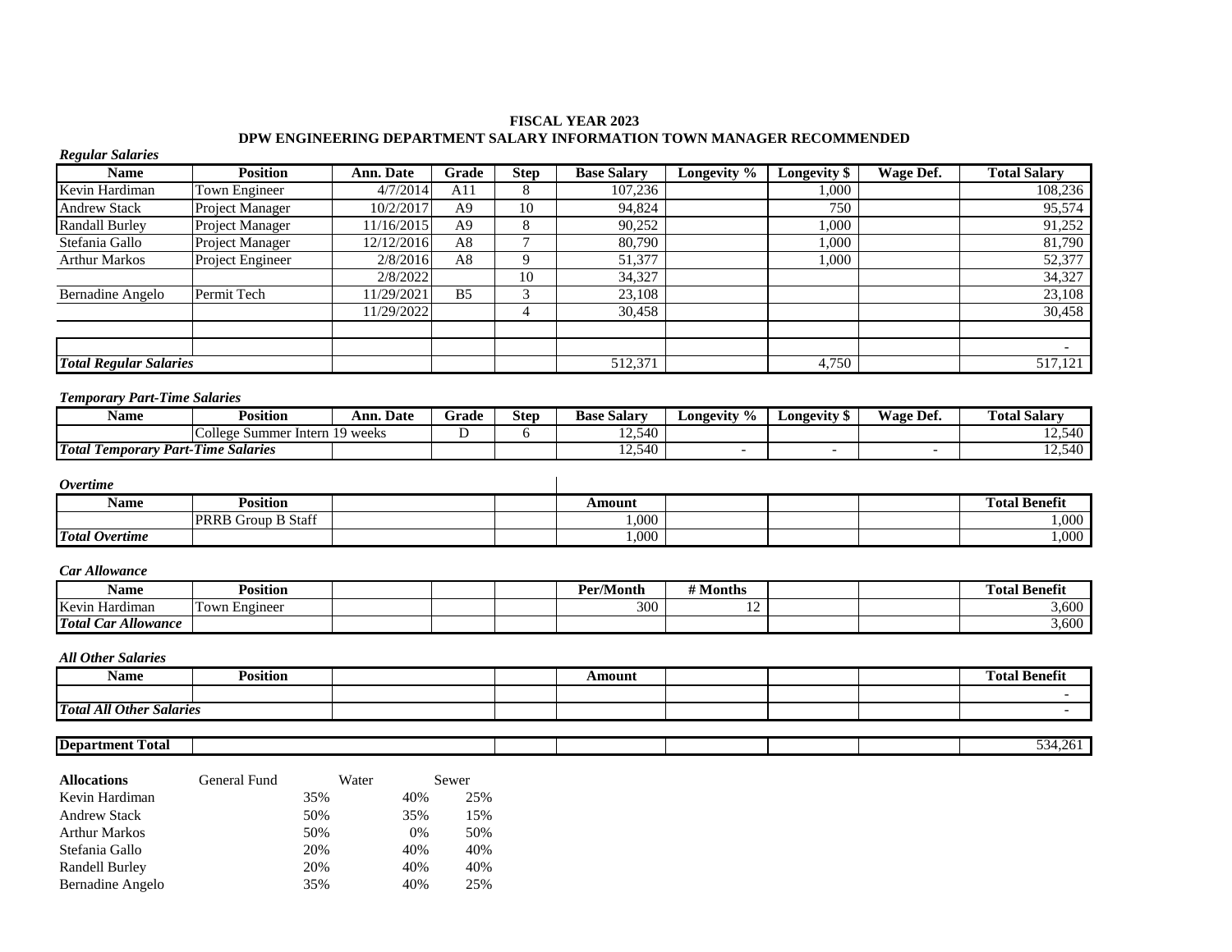## **FISCAL YEAR 2023 DPW ENGINEERING DEPARTMENT SALARY INFORMATION TOWN MANAGER RECOMMENDED**

| <b>Regular Salaries</b>                            |                                |            |                |                |                    |                          |                          |                          |                          |
|----------------------------------------------------|--------------------------------|------------|----------------|----------------|--------------------|--------------------------|--------------------------|--------------------------|--------------------------|
| <b>Name</b>                                        | <b>Position</b>                | Ann. Date  | Grade          | <b>Step</b>    | <b>Base Salary</b> | Longevity %              | Longevity \$             | <b>Wage Def.</b>         | <b>Total Salary</b>      |
| Kevin Hardiman                                     | Town Engineer                  | 4/7/2014   | A11            | 8              | 107,236            |                          | 1,000                    |                          | 108,236                  |
| <b>Andrew Stack</b>                                | Project Manager                | 10/2/2017  | A <sub>9</sub> | 10             | 94,824             |                          | 750                      |                          | 95,574                   |
| <b>Randall Burley</b>                              | Project Manager                | 11/16/2015 | A <sub>9</sub> | 8              | 90,252             |                          | 1,000                    |                          | 91,252                   |
| Stefania Gallo                                     | Project Manager                | 12/12/2016 | A8             | $\overline{7}$ | 80,790             |                          | 1.000                    |                          | 81,790                   |
| <b>Arthur Markos</b>                               | Project Engineer               | 2/8/2016   | A8             | 9              | 51,377             |                          | 1,000                    |                          | 52,377                   |
|                                                    |                                | 2/8/2022   |                | 10             | 34,327             |                          |                          |                          | 34,327                   |
| Bernadine Angelo                                   | Permit Tech                    | 11/29/2021 | B <sub>5</sub> | 3              | 23,108             |                          |                          |                          | 23,108                   |
|                                                    |                                | 11/29/2022 |                | 4              | 30,458             |                          |                          |                          | 30,458                   |
|                                                    |                                |            |                |                |                    |                          |                          |                          |                          |
|                                                    |                                |            |                |                |                    |                          |                          |                          | $\overline{\phantom{a}}$ |
| <b>Total Regular Salaries</b>                      |                                |            |                |                | 512,371            |                          | 4,750                    |                          | 517,121                  |
|                                                    |                                |            |                |                |                    |                          |                          |                          |                          |
| <b>Temporary Part-Time Salaries</b><br><b>Name</b> | <b>Position</b>                | Ann. Date  | Grade          | <b>Step</b>    | <b>Base Salary</b> | Longevity %              | Longevity \$             | Wage Def.                | <b>Total Salary</b>      |
|                                                    | College Summer Intern 19 weeks |            | D              | 6              | 12,540             |                          |                          |                          | 12,540                   |
| <b>Total Temporary Part-Time Salaries</b>          |                                |            |                |                | 12,540             | $\overline{\phantom{a}}$ | $\overline{\phantom{a}}$ | $\overline{\phantom{a}}$ | 12,540                   |
|                                                    |                                |            |                |                |                    |                          |                          |                          |                          |
| <b>Overtime</b>                                    |                                |            |                |                |                    |                          |                          |                          |                          |
| <b>Name</b>                                        | <b>Position</b>                |            |                |                | <b>Amount</b>      |                          |                          |                          | <b>Total Benefit</b>     |
|                                                    | PRRB Group B Staff             |            |                |                | 1,000              |                          |                          |                          | 1,000                    |
| <b>Total Overtime</b>                              |                                |            |                |                | 1.000              |                          |                          |                          | 1,000                    |
|                                                    |                                |            |                |                |                    |                          |                          |                          |                          |
| <b>Car Allowance</b>                               |                                |            |                |                |                    |                          |                          |                          |                          |
| <b>Name</b>                                        | <b>Position</b>                |            |                |                | Per/Month          | # Months                 |                          |                          | <b>Total Benefit</b>     |
| Kevin Hardiman                                     | Town Engineer                  |            |                |                | $\overline{300}$   | $\overline{12}$          |                          |                          | 3,600                    |
| <b>Total Car Allowance</b>                         |                                |            |                |                |                    |                          |                          |                          | 3,600                    |
|                                                    |                                |            |                |                |                    |                          |                          |                          |                          |
| <b>All Other Salaries</b>                          |                                |            |                |                |                    |                          |                          |                          |                          |
| <b>Name</b>                                        | <b>Position</b>                |            |                |                | <b>Amount</b>      |                          |                          |                          | <b>Total Benefit</b>     |
|                                                    |                                |            |                |                |                    |                          |                          |                          |                          |
| <b>Total All Other Salaries</b>                    |                                |            |                |                |                    |                          |                          |                          | $\overline{\phantom{a}}$ |
|                                                    |                                |            |                |                |                    |                          |                          |                          |                          |
| <b>Department Total</b>                            |                                |            |                |                |                    |                          |                          |                          | 534,261                  |
|                                                    |                                |            |                |                |                    |                          |                          |                          |                          |
| <b>Allocations</b>                                 | <b>General Fund</b>            | Water      | Sewer          |                |                    |                          |                          |                          |                          |

| <b>Allocations</b>   | General Fund | water |       | Sewer |
|----------------------|--------------|-------|-------|-------|
| Kevin Hardiman       |              | 35%   | 40%   | 25%   |
| <b>Andrew Stack</b>  |              | 50%   | 35%   | 15%   |
| <b>Arthur Markos</b> |              | 50%   | $0\%$ | 50%   |
| Stefania Gallo       |              | 20%   | 40%   | 40%   |
| Randell Burley       |              | 20%   | 40%   | 40%   |
| Bernadine Angelo     |              | 35%   | 40%   | 25%   |
|                      |              |       |       |       |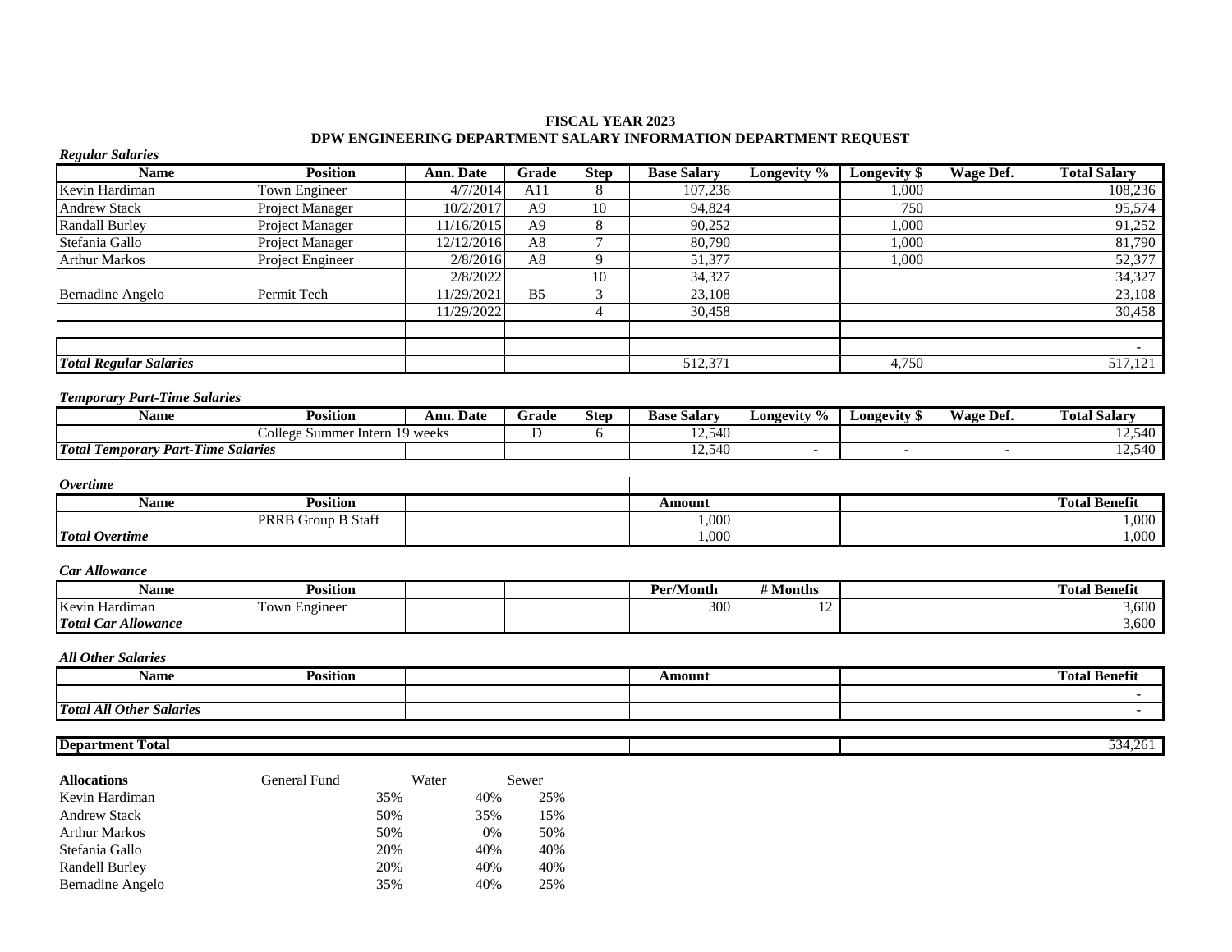## **FISCAL YEAR 2023 DPW ENGINEERING DEPARTMENT SALARY INFORMATION DEPARTMENT REQUEST**

| <b>Regular Salaries</b>                   |                                |              |                |                 |                    |                        |                     |                          |                      |
|-------------------------------------------|--------------------------------|--------------|----------------|-----------------|--------------------|------------------------|---------------------|--------------------------|----------------------|
| <b>Name</b>                               | <b>Position</b>                | Ann. Date    | Grade          | <b>Step</b>     | <b>Base Salary</b> | Longevity %            | <b>Longevity \$</b> | <b>Wage Def.</b>         | <b>Total Salary</b>  |
| Kevin Hardiman                            | Town Engineer                  | 4/7/2014     | A11            | 8               | 107,236            |                        | 1,000               |                          | 108,236              |
| <b>Andrew Stack</b>                       | Project Manager                | 10/2/2017    | A <sub>9</sub> | 10              | 94,824             |                        | 750                 |                          | 95,574               |
| <b>Randall Burley</b>                     | Project Manager                | 11/16/2015   | A <sub>9</sub> | $\,8\,$         | 90,252             |                        | 1,000               |                          | 91,252               |
| Stefania Gallo                            | Project Manager                | 12/12/2016   | A8             | $\overline{7}$  | 80,790             |                        | 1,000               |                          | 81,790               |
| <b>Arthur Markos</b>                      | Project Engineer               | 2/8/2016     | A8             | 9               | 51,377             |                        | 1,000               |                          | 52,377               |
|                                           |                                | 2/8/2022     |                | $\overline{10}$ | 34,327             |                        |                     |                          | 34,327               |
| Bernadine Angelo                          | Permit Tech                    | 11/29/2021   | B <sub>5</sub> | 3               | 23,108             |                        |                     |                          | 23,108               |
|                                           |                                | 11/29/2022   |                | $\overline{4}$  | 30,458             |                        |                     |                          | 30,458               |
| <b>Total Regular Salaries</b>             |                                |              |                |                 | 512,371            |                        | 4,750               |                          | 517,121              |
|                                           |                                |              |                |                 |                    |                        |                     |                          |                      |
| <b>Temporary Part-Time Salaries</b>       |                                |              |                |                 |                    |                        |                     |                          |                      |
| <b>Name</b>                               | <b>Position</b>                | Ann. Date    | Grade          | <b>Step</b>     | <b>Base Salary</b> | Longevity <sup>%</sup> | <b>Longevity</b> \$ | <b>Wage Def.</b>         | <b>Total Salary</b>  |
|                                           | College Summer Intern 19 weeks |              | D              | 6               | 12,540             |                        |                     |                          | 12,540               |
| <b>Total Temporary Part-Time Salaries</b> |                                |              |                |                 | 12,540             | $\overline{a}$         | $\sim$              | $\overline{\phantom{a}}$ | 12,540               |
| <i>Overtime</i>                           |                                |              |                |                 |                    |                        |                     |                          |                      |
| <b>Name</b>                               | <b>Position</b>                |              |                |                 | <b>Amount</b>      |                        |                     |                          | <b>Total Benefit</b> |
|                                           | <b>PRRB Group B Staff</b>      |              |                |                 | 1,000              |                        |                     |                          | 1,000                |
| <b>Total Overtime</b>                     |                                |              |                |                 | 1,000              |                        |                     |                          | 1,000                |
| <b>Car Allowance</b>                      |                                |              |                |                 |                    |                        |                     |                          |                      |
| <b>Name</b>                               | <b>Position</b>                |              |                |                 | Per/Month          | # Months               |                     |                          | <b>Total Benefit</b> |
| Kevin Hardiman                            | Town Engineer                  |              |                |                 | 300                | 12                     |                     |                          | 3,600                |
| <b>Total Car Allowance</b>                |                                |              |                |                 |                    |                        |                     |                          | 3,600                |
| <b>All Other Salaries</b>                 |                                |              |                |                 |                    |                        |                     |                          |                      |
| <b>Name</b>                               | <b>Position</b>                |              |                |                 | <b>Amount</b>      |                        |                     |                          | <b>Total Benefit</b> |
| <b>Total All Other Salaries</b>           |                                |              |                |                 |                    |                        |                     |                          | $\sim$               |
| <b>Department Total</b>                   |                                |              |                |                 |                    |                        |                     |                          | 534,261              |
| <b>Allocations</b><br>Kevin Hardiman      | General Fund<br>35%            | Water<br>40% | Sewer<br>25%   |                 |                    |                        |                     |                          |                      |

| Kevin Hardiman      | 35% | 40%   | 25% |
|---------------------|-----|-------|-----|
| <b>Andrew Stack</b> | 50% | 35%   | 15% |
| Arthur Markos       | 50% | $0\%$ | 50% |
| Stefania Gallo      | 20% | 40%   | 40% |
| Randell Burley      | 20% | 40%   | 40% |
| Bernadine Angelo    | 35% | 40%   | 25% |
|                     |     |       |     |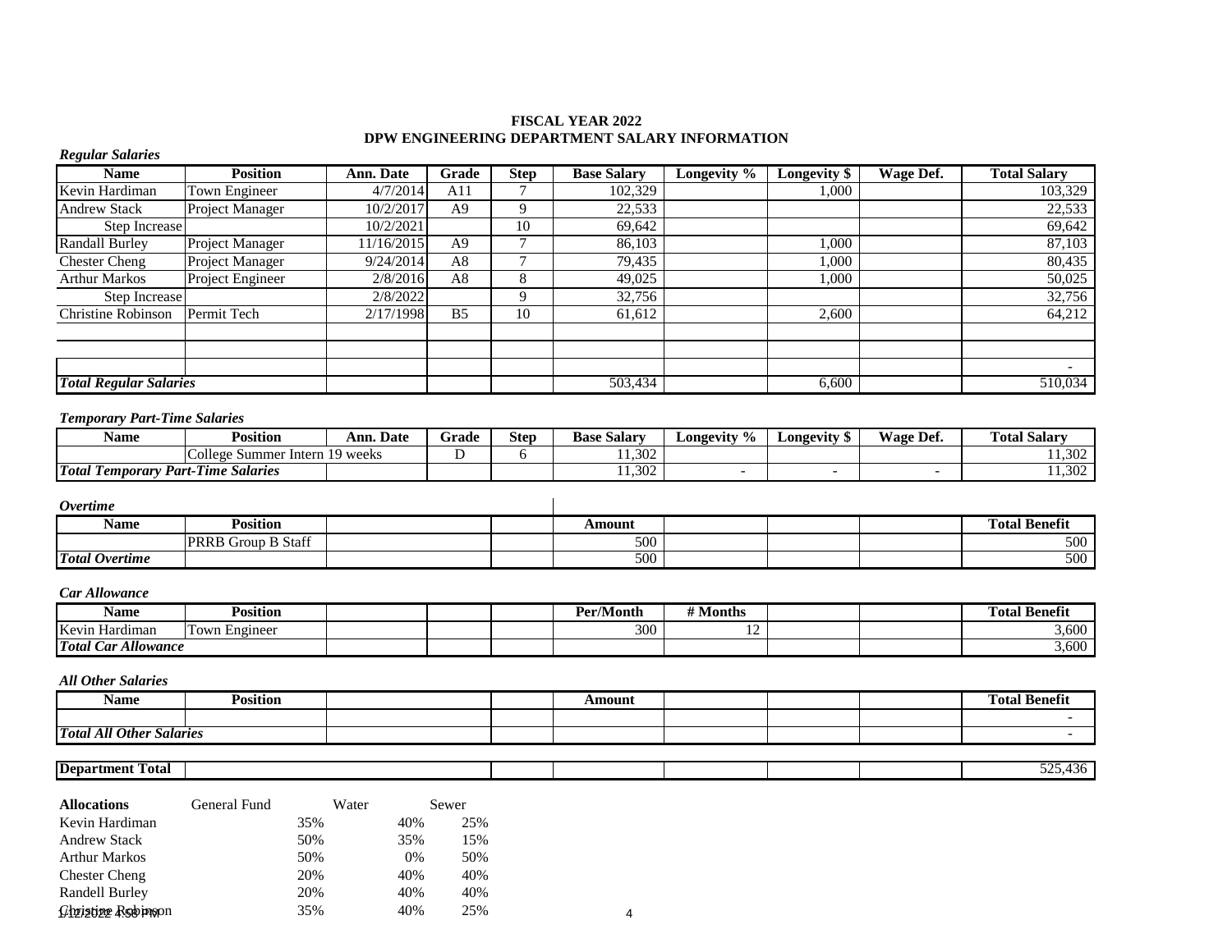## **FISCAL YEAR 2022 DPW ENGINEERING DEPARTMENT SALARY INFORMATION**

| <b>Regular Salaries</b>                            |                                |            |                |                |                    |                           |                          |                          |                      |
|----------------------------------------------------|--------------------------------|------------|----------------|----------------|--------------------|---------------------------|--------------------------|--------------------------|----------------------|
| <b>Name</b>                                        | <b>Position</b>                | Ann. Date  | Grade          | <b>Step</b>    | <b>Base Salary</b> | Longevity $\overline{\%}$ | Longevity \$             | Wage Def.                | <b>Total Salary</b>  |
| Kevin Hardiman                                     | Town Engineer                  | 4/7/2014   | A11            | $\tau$         | 102,329            |                           | 1.000                    |                          | 103,329              |
| <b>Andrew Stack</b>                                | <b>Project Manager</b>         | 10/2/2017  | A <sub>9</sub> | 9              | 22.533             |                           |                          |                          | 22,533               |
| Step Increase                                      |                                | 10/2/2021  |                | 10             | 69,642             |                           |                          |                          | 69,642               |
| <b>Randall Burley</b>                              | Project Manager                | 11/16/2015 | A <sub>9</sub> | $\overline{7}$ | 86.103             |                           | 1.000                    |                          | 87,103               |
| <b>Chester Cheng</b>                               | Project Manager                | 9/24/2014  | A8             | $\overline{7}$ | 79.435             |                           | 1.000                    |                          | 80,435               |
| Arthur Markos                                      | Project Engineer               | 2/8/2016   | A <sub>8</sub> | 8              | 49.025             |                           | 1.000                    |                          | 50,025               |
| <b>Step Increase</b>                               |                                | 2/8/2022   |                | 9              | 32,756             |                           |                          |                          | 32,756               |
| Christine Robinson                                 | Permit Tech                    | 2/17/1998  | B <sub>5</sub> | 10             | 61,612             |                           | 2.600                    |                          | 64,212               |
|                                                    |                                |            |                |                |                    |                           |                          |                          |                      |
| <b>Total Regular Salaries</b>                      |                                |            |                |                | 503,434            |                           | 6,600                    |                          | 510,034              |
| <b>Temporary Part-Time Salaries</b><br><b>Name</b> | <b>Position</b>                | Ann. Date  | Grade          | <b>Step</b>    | <b>Base Salary</b> | Longevity $\frac{6}{6}$   | Longevity \$             | Wage Def.                | <b>Total Salary</b>  |
|                                                    | College Summer Intern 19 weeks |            | D              | 6              | 11,302             |                           |                          |                          | 11,302               |
| <b>Total Temporary Part-Time Salaries</b>          |                                |            |                |                | 11,302             | $\overline{\phantom{a}}$  | $\overline{\phantom{a}}$ | $\overline{\phantom{a}}$ | 11,302               |
| <i><b>Overtime</b></i>                             |                                |            |                |                |                    |                           |                          |                          |                      |
| <b>Name</b>                                        | <b>Position</b>                |            |                |                | Amount             |                           |                          |                          | <b>Total Benefit</b> |
|                                                    | PRRB Group B Staff             |            |                |                | 500                |                           |                          |                          | 500                  |
| <b>Total Overtime</b>                              |                                |            |                |                | 500                |                           |                          |                          | 500                  |
| <b>Car Allowance</b>                               |                                |            |                |                |                    |                           |                          |                          |                      |
| <b>Name</b>                                        | <b>Position</b>                |            |                |                | Per/Month          | # Months                  |                          |                          | <b>Total Benefit</b> |
| Kevin Hardiman                                     | Town Engineer                  |            |                |                | 300                | 12                        |                          |                          | 3,600                |
| <b>Total Car Allowance</b>                         |                                |            |                |                |                    |                           |                          |                          | 3,600                |

### *All Other Salaries*

| Name                                      | <b>Position</b> |  | Amount |  | Fotal Benefit |
|-------------------------------------------|-----------------|--|--------|--|---------------|
|                                           |                 |  |        |  |               |
| <b>Total All Other</b><br><i>Salaries</i> |                 |  |        |  |               |

| rotal -<br><b>Department</b> |  |  |  | - -<br>., |
|------------------------------|--|--|--|-----------|
|                              |  |  |  |           |

| <b>Allocations</b>   | General Fund | Water |     | Sewer |
|----------------------|--------------|-------|-----|-------|
| Kevin Hardiman       |              | 35%   | 40% | 25%   |
| <b>Andrew Stack</b>  |              | 50%   | 35% | 15%   |
| <b>Arthur Markos</b> |              | 50%   | 0%  | 50%   |
| <b>Chester Cheng</b> |              | 20%   | 40% | 40%   |
| Randell Burley       |              | 20%   | 40% | 40%   |
| Christine Restinson  |              | 35%   | 40% | 25%   |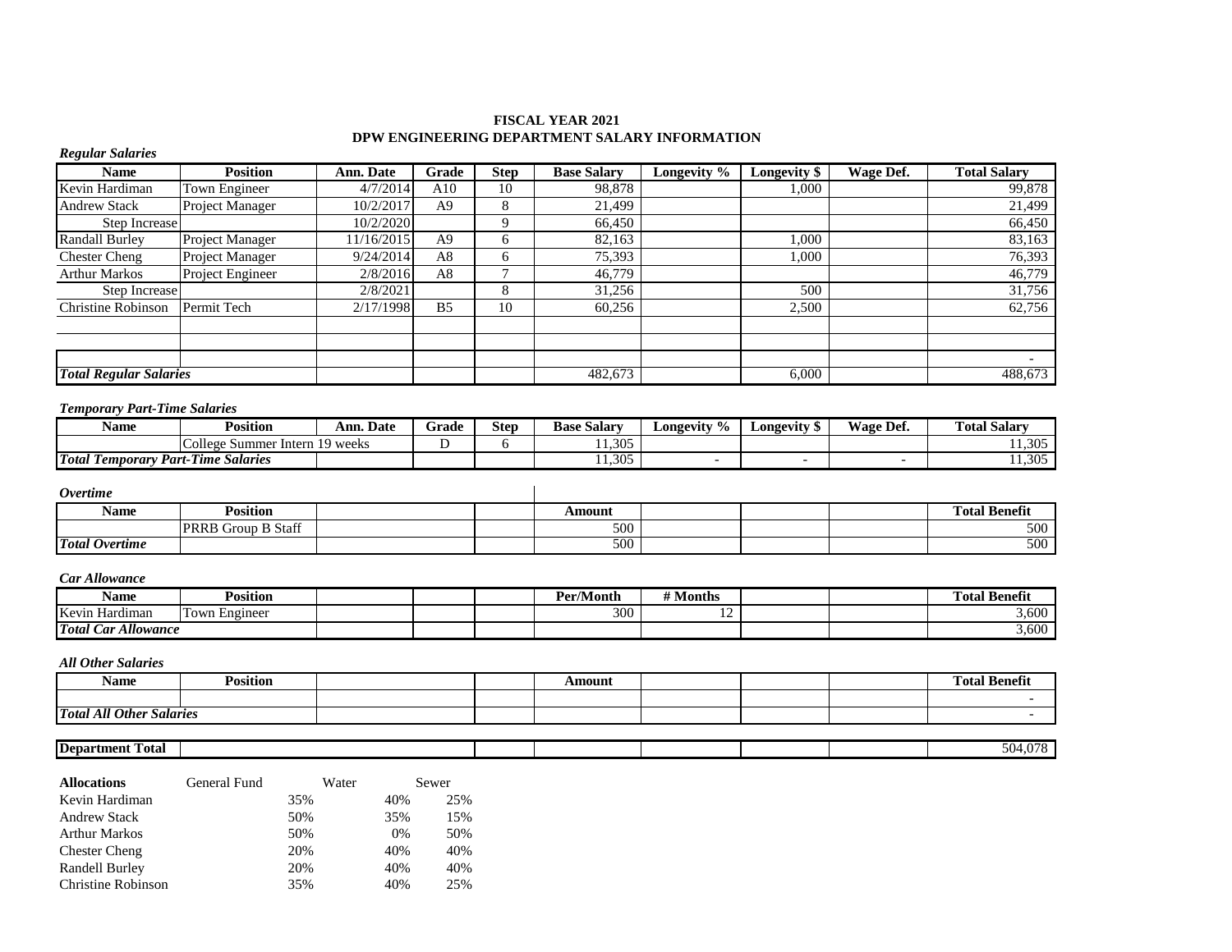## **FISCAL YEAR 2021 DPW ENGINEERING DEPARTMENT SALARY INFORMATION**

| <b>Regular Salaries</b>                   |                                |                  |                |                |                    |                          |                          |                          |                     |
|-------------------------------------------|--------------------------------|------------------|----------------|----------------|--------------------|--------------------------|--------------------------|--------------------------|---------------------|
| Name                                      | <b>Position</b>                | <b>Ann. Date</b> | Grade          | <b>Step</b>    | <b>Base Salary</b> | Longevity %              | Longevity \$             | Wage Def.                | <b>Total Salary</b> |
| Kevin Hardiman                            | Town Engineer                  | 4/7/2014         | A10            | 10             | 98,878             |                          | 1,000                    |                          | 99,878              |
| <b>Andrew Stack</b>                       | Project Manager                | 10/2/2017        | A <sub>9</sub> | 8              | 21,499             |                          |                          |                          | 21,499              |
| Step Increase                             |                                | 10/2/2020        |                | $\mathbf Q$    | 66,450             |                          |                          |                          | 66,450              |
| <b>Randall Burley</b>                     | <b>Project Manager</b>         | 11/16/2015       | A <sup>9</sup> | 6              | 82,163             |                          | 1,000                    |                          | 83,163              |
| <b>Chester Cheng</b>                      | <b>Project Manager</b>         | 9/24/2014        | A8             | 6              | 75,393             |                          | 1,000                    |                          | 76,393              |
| <b>Arthur Markos</b>                      | Project Engineer               | 2/8/2016         | A8             | $\overline{ }$ | 46,779             |                          |                          |                          | 46,779              |
| Step Increase                             |                                | 2/8/2021         |                | 8              | 31,256             |                          | 500                      |                          | 31,756              |
| Christine Robinson                        | Permit Tech                    | 2/17/1998        | B <sub>5</sub> | 10             | 60,256             |                          | 2,500                    |                          | 62,756              |
|                                           |                                |                  |                |                |                    |                          |                          |                          |                     |
|                                           |                                |                  |                |                |                    |                          |                          |                          |                     |
|                                           |                                |                  |                |                |                    |                          |                          |                          |                     |
| <b>Total Regular Salaries</b>             |                                |                  |                |                | 482,673            |                          | 6,000                    |                          | 488,673             |
| <b>Temporary Part-Time Salaries</b>       |                                |                  |                |                |                    |                          |                          |                          |                     |
| Name                                      | <b>Position</b>                | <b>Ann. Date</b> | Grade          | <b>Step</b>    | <b>Base Salary</b> | Longevity $\sqrt[6]{\ }$ | <b>Longevity \$</b>      | Wage Def.                | <b>Total Salary</b> |
|                                           | College Summer Intern 19 weeks |                  | D              | 6              | 11,305             |                          |                          |                          | 11,305              |
| <b>Total Temporary Part-Time Salaries</b> |                                |                  |                |                | 11,305             | $\overline{\phantom{a}}$ | $\overline{\phantom{a}}$ | $\overline{\phantom{a}}$ | 11,305              |
| <i>Overtime</i>                           |                                |                  |                |                |                    |                          |                          |                          |                     |

| ----------            |                                                    |        |  |                                          |
|-----------------------|----------------------------------------------------|--------|--|------------------------------------------|
| Name                  | Position                                           | Amount |  | <b>Total Benefit</b><br><b>CONTINUES</b> |
|                       | $\alpha$<br><b>B</b> Staff<br><b>PRRE</b><br>Group | 500    |  | 500                                      |
| <b>Total Overtime</b> |                                                    | 500    |  | 500                                      |

### *Car Allowance*

| <b>Name</b>                                                                          | Position      |  | Per/Month | $\mathbf{H}$ M $\mathbf{F}$<br>Months |  | <b>Total Benefit</b> |
|--------------------------------------------------------------------------------------|---------------|--|-----------|---------------------------------------|--|----------------------|
| Kevin<br>Hardıman                                                                    | Town Engineer |  | 300       | $\sim$<br>$\overline{1}$              |  | 3.600                |
| <b>Total</b><br>$\mathbf{H}$<br>$\sim$<br>$\mathcal{L}$ ar<br>Allowance <sup>.</sup> |               |  |           |                                       |  | 3.600                |

### *All Other Salaries*

| <b>Name</b>                     | <b>Position</b> |  | Amount |  | <b>Fotal Benefit</b><br><b>CEN</b> |
|---------------------------------|-----------------|--|--------|--|------------------------------------|
|                                 |                 |  |        |  |                                    |
| <b>Total All Other Salaries</b> |                 |  |        |  |                                    |
|                                 |                 |  |        |  |                                    |

## **Department Total** 504,078

| <b>Allocations</b>   | General Fund | Water | Sewer |
|----------------------|--------------|-------|-------|
| Kevin Hardiman       | 35%          | 40%   | 25%   |
| <b>Andrew Stack</b>  | 50%          | 35%   | 15%   |
| <b>Arthur Markos</b> | 50%          | $0\%$ | 50%   |
| <b>Chester Cheng</b> | 20%          | 40%   | 40%   |
| Randell Burley       | 20%          | 40%   | 40%   |
| Christine Robinson   | 35%          | 40%   | 25%   |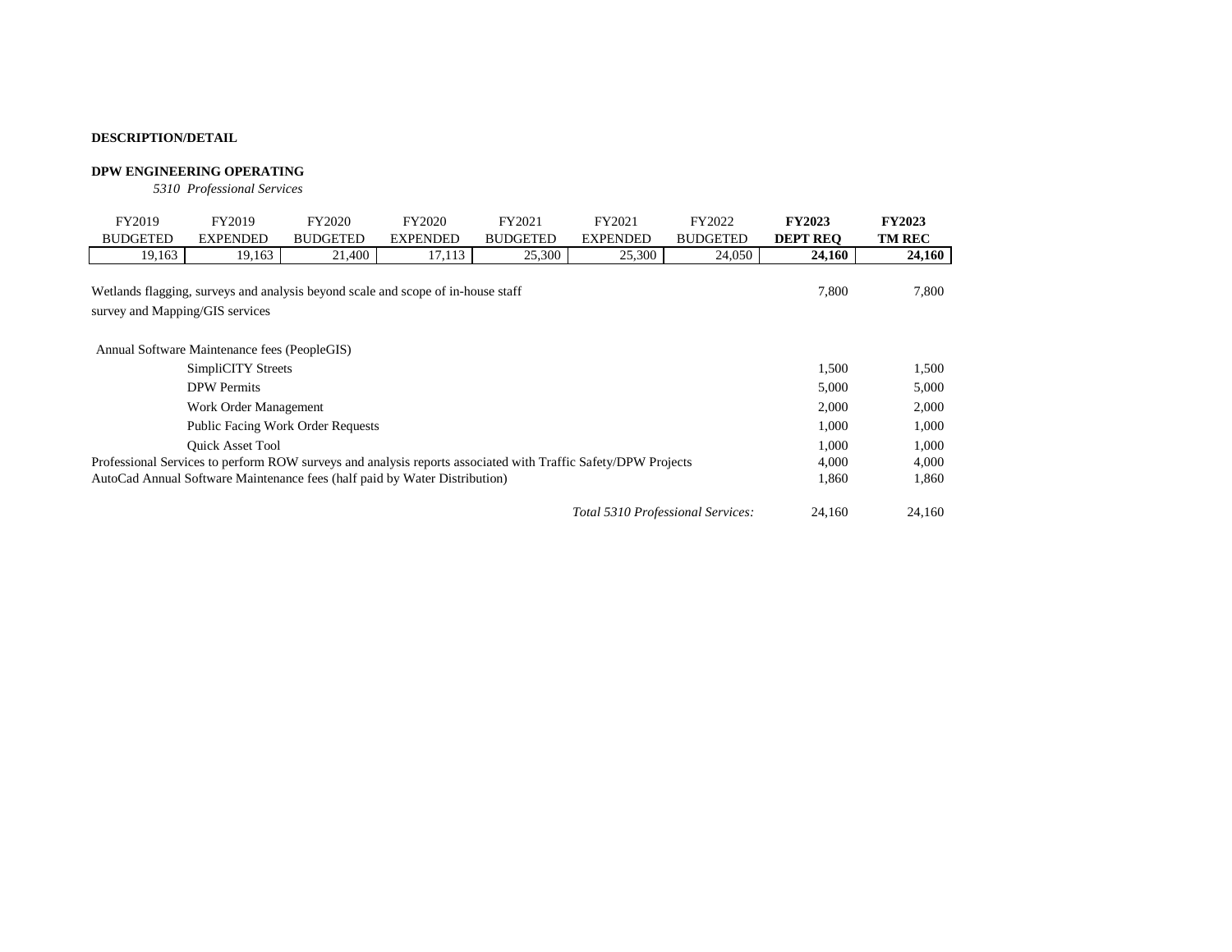## **DPW ENGINEERING OPERATING**

*5310 Professional Services*

| FY2019                                                                                                        | FY2019                                                                           | FY2020          | FY2020          | FY2021          | FY2021                            | FY2022          | <b>FY2023</b>   | <b>FY2023</b> |
|---------------------------------------------------------------------------------------------------------------|----------------------------------------------------------------------------------|-----------------|-----------------|-----------------|-----------------------------------|-----------------|-----------------|---------------|
| <b>BUDGETED</b>                                                                                               | <b>EXPENDED</b>                                                                  | <b>BUDGETED</b> | <b>EXPENDED</b> | <b>BUDGETED</b> | <b>EXPENDED</b>                   | <b>BUDGETED</b> | <b>DEPT REO</b> | <b>TM REC</b> |
| 19,163                                                                                                        | 19,163                                                                           | 21,400          | 17,113          | 25,300          | 25,300                            | 24,050          | 24,160          | 24,160        |
| survey and Mapping/GIS services                                                                               | Wetlands flagging, surveys and analysis beyond scale and scope of in-house staff |                 | 7,800           | 7,800           |                                   |                 |                 |               |
|                                                                                                               | Annual Software Maintenance fees (PeopleGIS)                                     |                 |                 |                 |                                   |                 |                 |               |
| <b>SimpliCITY Streets</b>                                                                                     |                                                                                  | 1,500           | 1,500           |                 |                                   |                 |                 |               |
|                                                                                                               | <b>DPW</b> Permits                                                               |                 |                 |                 |                                   |                 | 5,000           | 5,000         |
|                                                                                                               | Work Order Management                                                            |                 |                 |                 |                                   |                 | 2,000           | 2,000         |
|                                                                                                               | <b>Public Facing Work Order Requests</b>                                         |                 |                 |                 |                                   |                 | 1,000           | 1,000         |
|                                                                                                               | <b>Ouick Asset Tool</b>                                                          |                 |                 |                 |                                   |                 | 1.000           | 1,000         |
| Professional Services to perform ROW surveys and analysis reports associated with Traffic Safety/DPW Projects |                                                                                  |                 |                 |                 |                                   |                 | 4,000           | 4,000         |
|                                                                                                               | AutoCad Annual Software Maintenance fees (half paid by Water Distribution)       |                 |                 |                 |                                   |                 | 1,860           | 1,860         |
|                                                                                                               |                                                                                  |                 |                 |                 | Total 5310 Professional Services: |                 | 24.160          | 24,160        |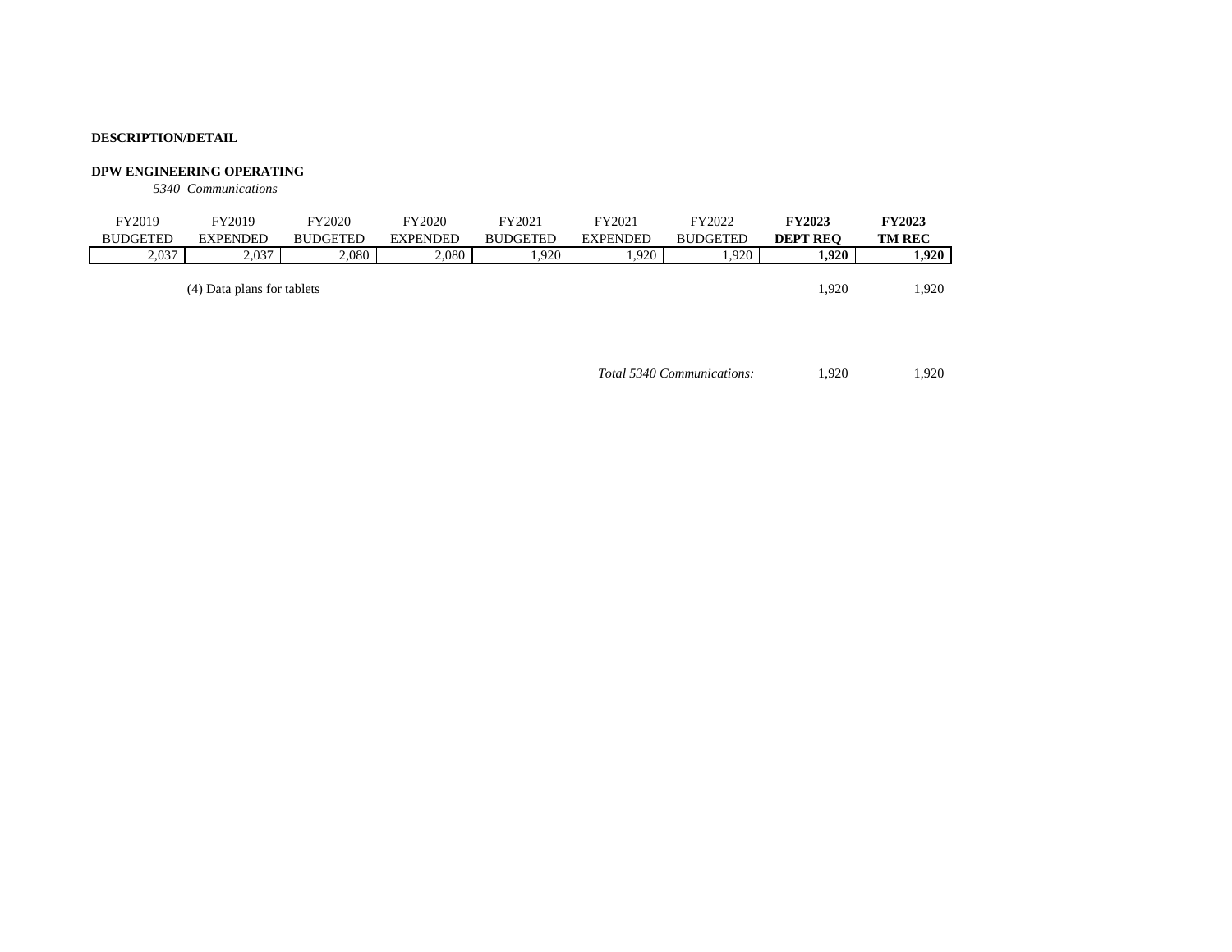### **DPW ENGINEERING OPERATING**

*5340 Communications*

| FY2019          | FY2019                     | FY2020          | FY2020          | FY2021          | FY2021          | FY2022          | <b>FY2023</b>   | <b>FY2023</b> |
|-----------------|----------------------------|-----------------|-----------------|-----------------|-----------------|-----------------|-----------------|---------------|
| <b>BUDGETED</b> | <b>EXPENDED</b>            | <b>BUDGETED</b> | <b>EXPENDED</b> | <b>BUDGETED</b> | <b>EXPENDED</b> | <b>BUDGETED</b> | <b>DEPT REO</b> | <b>TM REC</b> |
| 2,037           | 2.037                      | 2.080           | 2.080           | 1.920           | 1,920           | .920            | 1,920           | 1.920         |
|                 |                            |                 |                 |                 |                 |                 |                 |               |
|                 | (4) Data plans for tablets |                 |                 |                 |                 |                 | 1.920           | 1.920         |

*Total 5340 Communications:* 1,920 1,920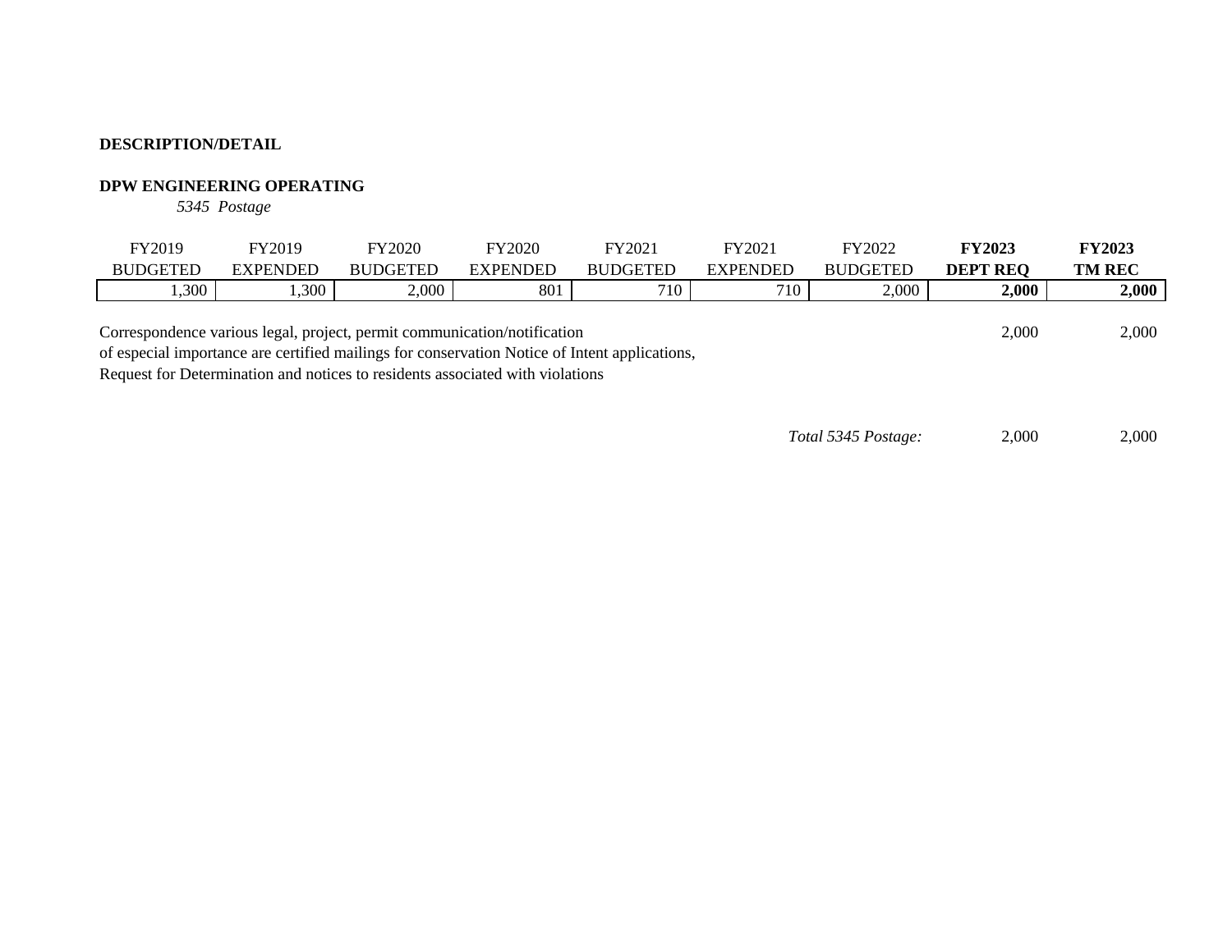# **DPW ENGINEERING OPERATING**

*5345 Postage*

| FY2019                                                                   | FY2019          | FY2020          | FY2020          | FY2021          | FY2021          | FY2022          | <b>FY2023</b>   | <b>FY2023</b> |
|--------------------------------------------------------------------------|-----------------|-----------------|-----------------|-----------------|-----------------|-----------------|-----------------|---------------|
| <b>BUDGETED</b>                                                          | <b>EXPENDED</b> | <b>BUDGETED</b> | <b>EXPENDED</b> | <b>BUDGETED</b> | <b>EXPENDED</b> | <b>BUDGETED</b> | <b>DEPT REO</b> | <b>TM REC</b> |
| ,300                                                                     | ,300            | 2,000           | 801             | 710             | 710             | 2,000           | 2,000           | 2,000         |
| Correspondence various legal, project, permit communication/notification |                 |                 |                 |                 |                 |                 | 2,000           | 2,000         |

of especial importance are certified mailings for conservation Notice of Intent applications,

Request for Determination and notices to residents associated with violations

*Total 5345 Postage:* 2,000 2,000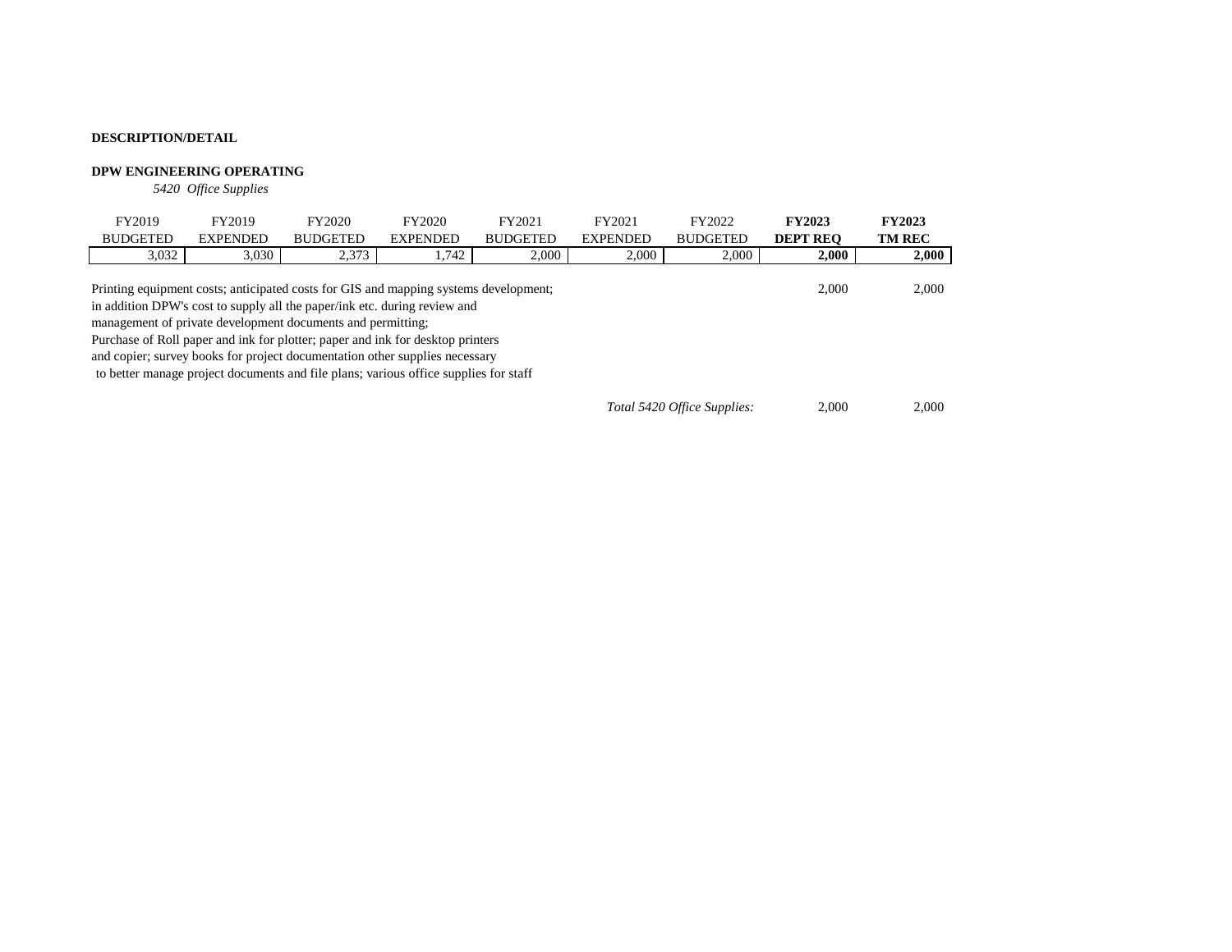## **DPW ENGINEERING OPERATING**

*5420 Office Supplies*

| FY2019                                                                                                                                                                                                                                                                                                                                                                                            | FY2019                                                                               | FY2020          | FY2020          | FY2021          | FY2021          | FY2022          | <b>FY2023</b>   | <b>FY2023</b> |
|---------------------------------------------------------------------------------------------------------------------------------------------------------------------------------------------------------------------------------------------------------------------------------------------------------------------------------------------------------------------------------------------------|--------------------------------------------------------------------------------------|-----------------|-----------------|-----------------|-----------------|-----------------|-----------------|---------------|
| <b>BUDGETED</b>                                                                                                                                                                                                                                                                                                                                                                                   | <b>EXPENDED</b>                                                                      | <b>BUDGETED</b> | <b>EXPENDED</b> | <b>BUDGETED</b> | <b>EXPENDED</b> | <b>BUDGETED</b> | <b>DEPT REO</b> | <b>TM REC</b> |
| 3,032                                                                                                                                                                                                                                                                                                                                                                                             | 3,030                                                                                | 2,373           | 1.742           | 2.000           | 2,000           | 2,000           | 2,000           | 2,000         |
| Printing equipment costs; anticipated costs for GIS and mapping systems development;<br>in addition DPW's cost to supply all the paper/ink etc. during review and<br>management of private development documents and permitting;<br>Purchase of Roll paper and ink for plotter; paper and ink for desktop printers<br>and copier; survey books for project documentation other supplies necessary | to better manage project documents and file plans; various office supplies for staff |                 |                 |                 |                 |                 | 2.000           | 2,000         |

| Total 5420 Office Supplies: | 2,000 | 2.000 |
|-----------------------------|-------|-------|
|-----------------------------|-------|-------|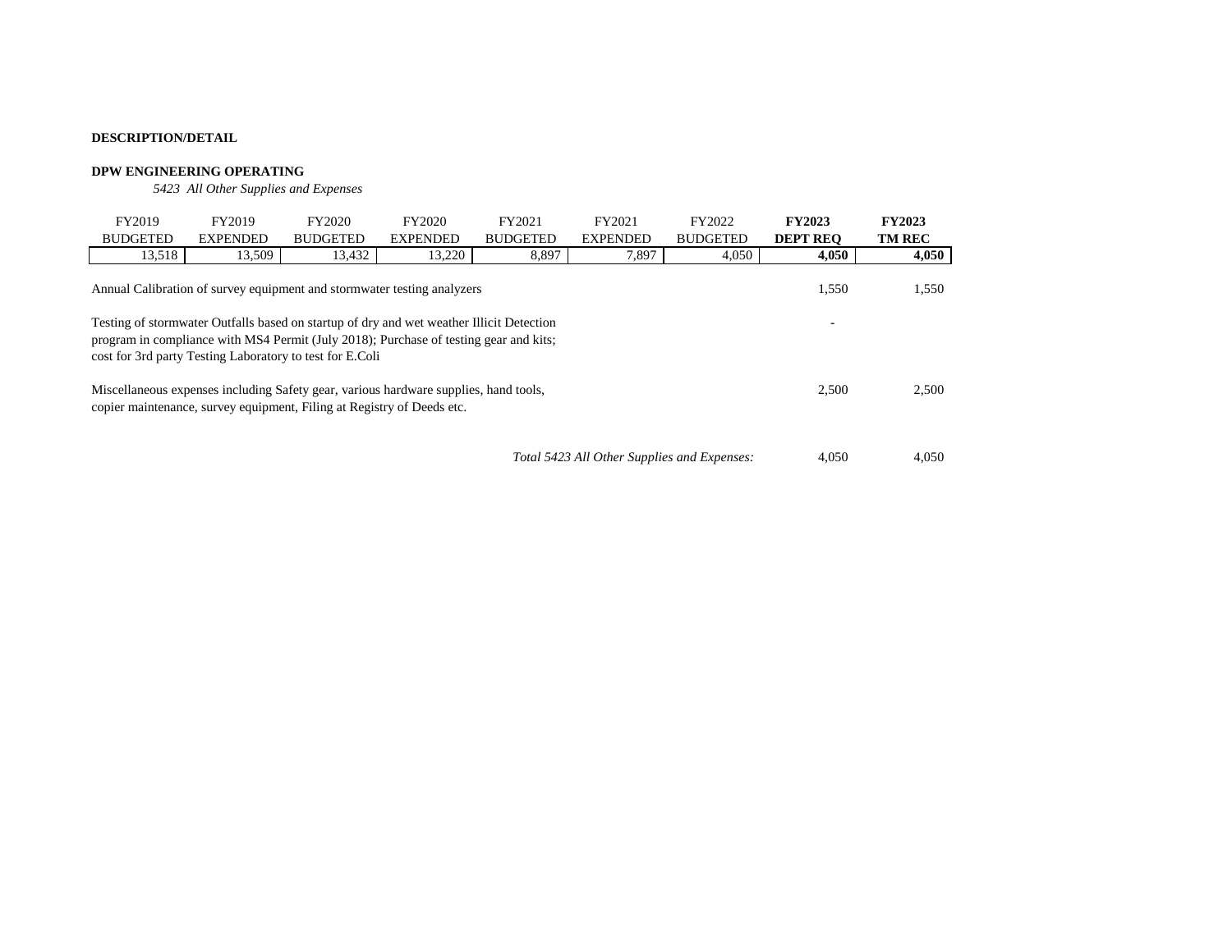## **DPW ENGINEERING OPERATING**

*5423 All Other Supplies and Expenses*

| FY2019                                                                                                                                                                                                                                                                    | FY2019                                                                  | FY2020          | FY2020          | FY2021          | FY2021                                      | FY2022          | <b>FY2023</b>   | <b>FY2023</b> |  |  |
|---------------------------------------------------------------------------------------------------------------------------------------------------------------------------------------------------------------------------------------------------------------------------|-------------------------------------------------------------------------|-----------------|-----------------|-----------------|---------------------------------------------|-----------------|-----------------|---------------|--|--|
| <b>BUDGETED</b>                                                                                                                                                                                                                                                           | <b>EXPENDED</b>                                                         | <b>BUDGETED</b> | <b>EXPENDED</b> | <b>BUDGETED</b> | <b>EXPENDED</b>                             | <b>BUDGETED</b> | <b>DEPT REO</b> | <b>TM REC</b> |  |  |
| 13,518                                                                                                                                                                                                                                                                    | 13,509                                                                  | 13,432          | 13,220          | 8,897           | 7,897                                       | 4,050           | 4,050           | 4,050         |  |  |
|                                                                                                                                                                                                                                                                           | Annual Calibration of survey equipment and stormwater testing analyzers |                 |                 |                 |                                             |                 | 1,550           | 1,550         |  |  |
| Testing of stormwater Outfalls based on startup of dry and wet weather Illicit Detection<br>$\overline{\phantom{0}}$<br>program in compliance with MS4 Permit (July 2018); Purchase of testing gear and kits;<br>cost for 3rd party Testing Laboratory to test for E.Coli |                                                                         |                 |                 |                 |                                             |                 |                 |               |  |  |
| Miscellaneous expenses including Safety gear, various hardware supplies, hand tools,<br>copier maintenance, survey equipment, Filing at Registry of Deeds etc.                                                                                                            |                                                                         |                 |                 |                 |                                             |                 |                 | 2,500         |  |  |
|                                                                                                                                                                                                                                                                           |                                                                         |                 |                 |                 | Total 5423 All Other Supplies and Expenses: |                 | 4.050           | 4,050         |  |  |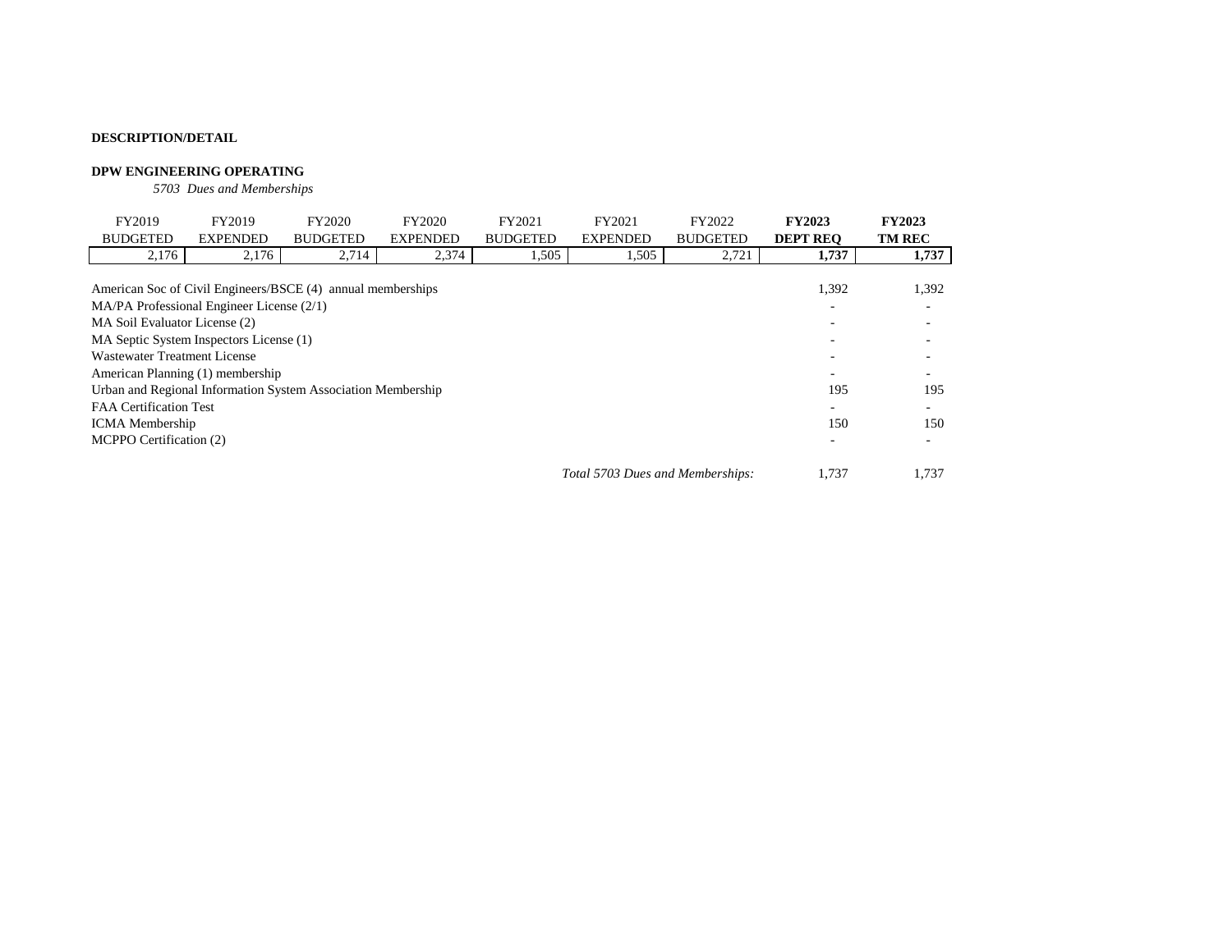## **DPW ENGINEERING OPERATING**

*5703 Dues and Memberships*

| FY2019                                                       | FY2019          | FY2020          | FY2020          | FY2021          | FY2021                           | FY2022          | <b>FY2023</b>   | <b>FY2023</b> |
|--------------------------------------------------------------|-----------------|-----------------|-----------------|-----------------|----------------------------------|-----------------|-----------------|---------------|
| <b>BUDGETED</b>                                              | <b>EXPENDED</b> | <b>BUDGETED</b> | <b>EXPENDED</b> | <b>BUDGETED</b> | <b>EXPENDED</b>                  | <b>BUDGETED</b> | <b>DEPT REO</b> | <b>TM REC</b> |
| 2,176                                                        | 2,176           | 2,714           | 2,374           | 1,505           | 1,505                            | 2,721           | 1,737           | 1,737         |
|                                                              |                 |                 |                 |                 |                                  |                 |                 |               |
| American Soc of Civil Engineers/BSCE (4) annual memberships  |                 |                 |                 |                 |                                  |                 | 1,392           | 1,392         |
| $MA/PA$ Professional Engineer License $(2/1)$                |                 |                 |                 |                 |                                  |                 |                 |               |
| MA Soil Evaluator License (2)                                |                 |                 |                 |                 |                                  |                 |                 |               |
| MA Septic System Inspectors License (1)                      |                 |                 |                 |                 |                                  |                 |                 |               |
| Wastewater Treatment License                                 |                 |                 |                 |                 |                                  |                 |                 |               |
| American Planning (1) membership                             |                 |                 |                 |                 |                                  |                 |                 |               |
| Urban and Regional Information System Association Membership |                 |                 |                 |                 |                                  |                 | 195             | 195           |
| <b>FAA Certification Test</b>                                |                 |                 |                 |                 |                                  |                 |                 |               |
| <b>ICMA</b> Membership                                       |                 |                 |                 |                 |                                  |                 | 150             | 150           |
| MCPPO Certification (2)                                      |                 |                 |                 |                 |                                  |                 |                 |               |
|                                                              |                 |                 |                 |                 | Total 5703 Dues and Memberships: |                 | 1.737           | 1.737         |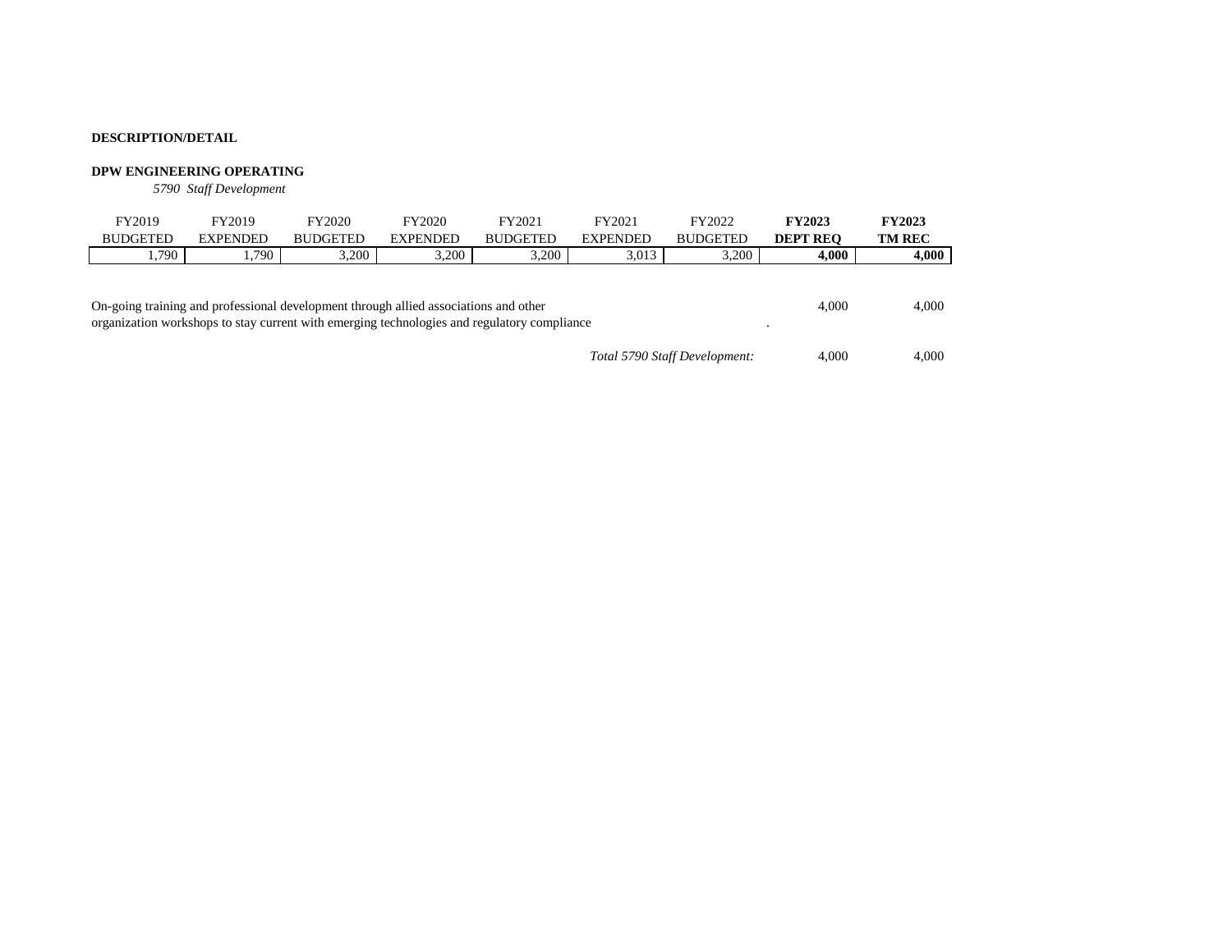### **DPW ENGINEERING OPERATING**

*5790 Staff Development*

| FY2019                                                                                                                                                                              | FY2019          | FY2020          | FY2020          | FY2021          | FY2021          | FY2022          | <b>FY2023</b>   | <b>FY2023</b> |
|-------------------------------------------------------------------------------------------------------------------------------------------------------------------------------------|-----------------|-----------------|-----------------|-----------------|-----------------|-----------------|-----------------|---------------|
| <b>BUDGETED</b>                                                                                                                                                                     | <b>EXPENDED</b> | <b>BUDGETED</b> | <b>EXPENDED</b> | <b>BUDGETED</b> | <b>EXPENDED</b> | <b>BUDGETED</b> | <b>DEPT REO</b> | <b>TM REC</b> |
| . . 790                                                                                                                                                                             | 1.790           | 3.200           | 3.200           | 3.200           | 3,013           | 3.200           | 4,000           | 4,000         |
| On-going training and professional development through allied associations and other<br>organization workshops to stay current with emerging technologies and regulatory compliance | 4.000           | 4,000           |                 |                 |                 |                 |                 |               |
|                                                                                                                                                                                     | 4.000           | 4.000           |                 |                 |                 |                 |                 |               |